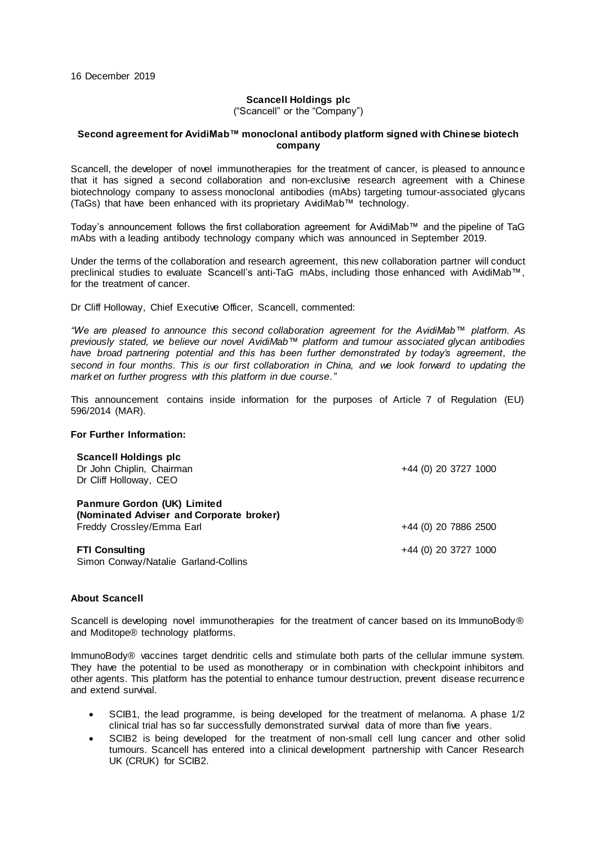## **Scancell Holdings plc**

("Scancell" or the "Company")

## **Second agreement for AvidiMab™ monoclonal antibody platform signed with Chinese biotech company**

Scancell, the developer of novel immunotherapies for the treatment of cancer, is pleased to announce that it has signed a second collaboration and non-exclusive research agreement with a Chinese biotechnology company to assess monoclonal antibodies (mAbs) targeting tumour-associated glycans (TaGs) that have been enhanced with its proprietary AvidiMab™ technology.

Today's announcement follows the first collaboration agreement for AvidiMab™ and the pipeline of TaG mAbs with a leading antibody technology company which was announced in September 2019.

Under the terms of the collaboration and research agreement, this new collaboration partner will conduct preclinical studies to evaluate Scancell's anti-TaG mAbs, including those enhanced with AvidiMab™, for the treatment of cancer.

Dr Cliff Holloway, Chief Executive Officer, Scancell, commented:

*"We are pleased to announce this second collaboration agreement for the AvidiMab™ platform. As previously stated, we believe our novel AvidiMab™ platform and tumour associated glycan antibodies have broad partnering potential and this has been further demonstrated by today's agreement, the second in four months. This is our first collaboration in China, and we look forward to updating the market on further progress with this platform in due course."*

This announcement contains inside information for the purposes of Article 7 of Regulation (EU) 596/2014 (MAR).

## **For Further Information:**

| <b>Scancell Holdings plc</b><br>Dr John Chiplin, Chairman<br>Dr Cliff Holloway, CEO                         | +44 (0) 20 3727 1000 |
|-------------------------------------------------------------------------------------------------------------|----------------------|
| <b>Panmure Gordon (UK) Limited</b><br>(Nominated Adviser and Corporate broker)<br>Freddy Crossley/Emma Earl | +44 (0) 20 7886 2500 |
| <b>FTI Consulting</b><br>Simon Conway/Natalie Garland-Collins                                               | +44 (0) 20 3727 1000 |

## **About Scancell**

Scancell is developing novel immunotherapies for the treatment of cancer based on its ImmunoBody® and Moditope® technology platforms.

ImmunoBody® vaccines target dendritic cells and stimulate both parts of the cellular immune system. They have the potential to be used as monotherapy or in combination with checkpoint inhibitors and other agents. This platform has the potential to enhance tumour destruction, prevent disease recurrence and extend survival.

- SCIB1, the lead programme, is being developed for the treatment of melanoma. A phase 1/2 clinical trial has so far successfully demonstrated survival data of more than five years.
- SCIB2 is being developed for the treatment of non-small cell lung cancer and other solid tumours. Scancell has entered into a clinical development partnership with Cancer Research UK (CRUK) for SCIB2.